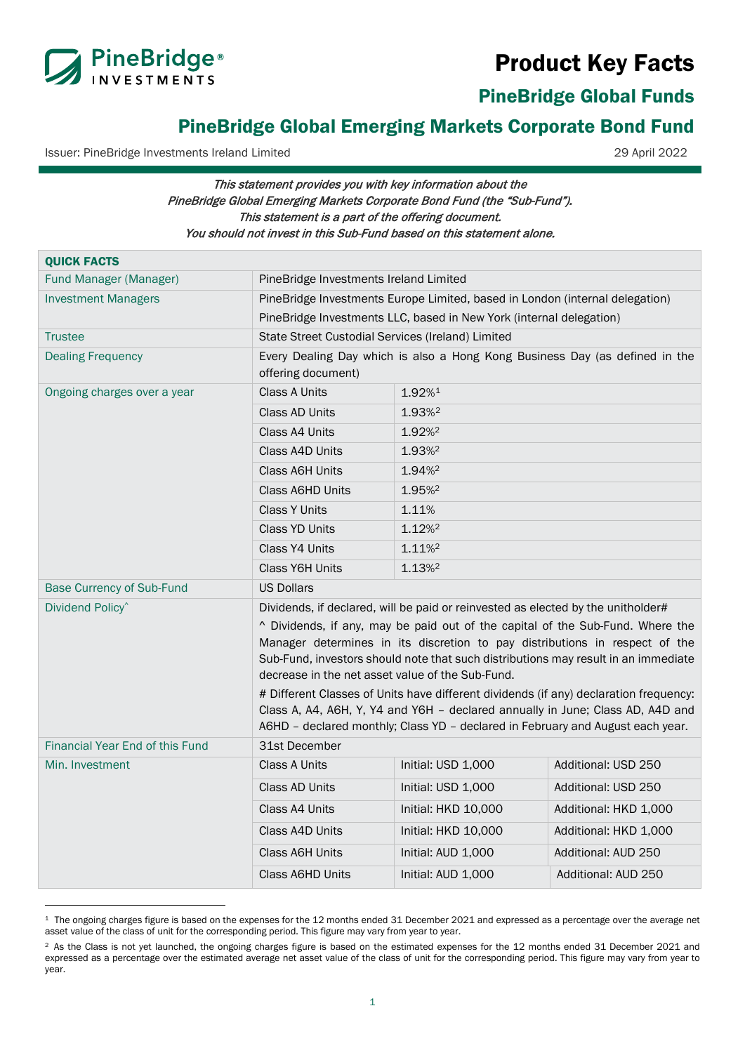# Product Key Facts



<span id="page-0-0"></span>PineBridge Global Funds

# PineBridge Global Emerging Markets Corporate Bond Fund

Issuer: PineBridge Investments Ireland Limited 29 April 2022

# This statement provides you with key information about the PineBridge Global Emerging Markets Corporate Bond Fund (the "Sub-Fund"). This statement is a part of the offering document. You should not invest in this Sub-Fund based on this statement alone.

| <b>QUICK FACTS</b>                     |                                                                                                                                                                                                                                                                                                                                                                                                  |                     |                       |
|----------------------------------------|--------------------------------------------------------------------------------------------------------------------------------------------------------------------------------------------------------------------------------------------------------------------------------------------------------------------------------------------------------------------------------------------------|---------------------|-----------------------|
| Fund Manager (Manager)                 | PineBridge Investments Ireland Limited                                                                                                                                                                                                                                                                                                                                                           |                     |                       |
| <b>Investment Managers</b>             | PineBridge Investments Europe Limited, based in London (internal delegation)                                                                                                                                                                                                                                                                                                                     |                     |                       |
|                                        | PineBridge Investments LLC, based in New York (internal delegation)                                                                                                                                                                                                                                                                                                                              |                     |                       |
| <b>Trustee</b>                         | State Street Custodial Services (Ireland) Limited                                                                                                                                                                                                                                                                                                                                                |                     |                       |
| <b>Dealing Frequency</b>               | Every Dealing Day which is also a Hong Kong Business Day (as defined in the<br>offering document)                                                                                                                                                                                                                                                                                                |                     |                       |
| Ongoing charges over a year            | <b>Class A Units</b>                                                                                                                                                                                                                                                                                                                                                                             | 1.92%1              |                       |
|                                        | Class AD Units                                                                                                                                                                                                                                                                                                                                                                                   | 1.93% <sup>2</sup>  |                       |
|                                        | Class A4 Units                                                                                                                                                                                                                                                                                                                                                                                   | 1.92% <sup>2</sup>  |                       |
|                                        | Class A4D Units                                                                                                                                                                                                                                                                                                                                                                                  | 1.93%               |                       |
|                                        | <b>Class A6H Units</b>                                                                                                                                                                                                                                                                                                                                                                           | 1.94%               |                       |
|                                        | Class A6HD Units                                                                                                                                                                                                                                                                                                                                                                                 | 1.95% <sup>2</sup>  |                       |
|                                        | <b>Class Y Units</b>                                                                                                                                                                                                                                                                                                                                                                             | 1.11%               |                       |
|                                        | Class YD Units                                                                                                                                                                                                                                                                                                                                                                                   | 1.12% <sup>2</sup>  |                       |
|                                        | Class Y4 Units                                                                                                                                                                                                                                                                                                                                                                                   | 1.11%               |                       |
|                                        | <b>Class Y6H Units</b>                                                                                                                                                                                                                                                                                                                                                                           | 1.13% <sup>2</sup>  |                       |
| <b>Base Currency of Sub-Fund</b>       | <b>US Dollars</b>                                                                                                                                                                                                                                                                                                                                                                                |                     |                       |
| Dividend Policy <sup>^</sup>           | Dividends, if declared, will be paid or reinvested as elected by the unitholder#                                                                                                                                                                                                                                                                                                                 |                     |                       |
|                                        | ^ Dividends, if any, may be paid out of the capital of the Sub-Fund. Where the<br>Manager determines in its discretion to pay distributions in respect of the<br>Sub-Fund, investors should note that such distributions may result in an immediate<br>decrease in the net asset value of the Sub-Fund.<br># Different Classes of Units have different dividends (if any) declaration frequency: |                     |                       |
|                                        | Class A, A4, A6H, Y, Y4 and Y6H - declared annually in June; Class AD, A4D and<br>A6HD - declared monthly; Class YD - declared in February and August each year.                                                                                                                                                                                                                                 |                     |                       |
| <b>Financial Year End of this Fund</b> | 31st December                                                                                                                                                                                                                                                                                                                                                                                    |                     |                       |
| Min. Investment                        | <b>Class A Units</b>                                                                                                                                                                                                                                                                                                                                                                             | Initial: USD 1,000  | Additional: USD 250   |
|                                        | <b>Class AD Units</b>                                                                                                                                                                                                                                                                                                                                                                            | Initial: USD 1,000  | Additional: USD 250   |
|                                        | Class A4 Units                                                                                                                                                                                                                                                                                                                                                                                   | Initial: HKD 10,000 | Additional: HKD 1,000 |
|                                        | Class A4D Units                                                                                                                                                                                                                                                                                                                                                                                  | Initial: HKD 10,000 | Additional: HKD 1,000 |
|                                        | <b>Class A6H Units</b>                                                                                                                                                                                                                                                                                                                                                                           | Initial: AUD 1,000  | Additional: AUD 250   |
|                                        | Class A6HD Units                                                                                                                                                                                                                                                                                                                                                                                 | Initial: AUD 1,000  | Additional: AUD 250   |

<span id="page-0-1"></span><sup>&</sup>lt;sup>1</sup> The ongoing charges figure is based on the expenses for the 12 months ended 31 December 2021 and expressed as a percentage over the average net asset value of the class of unit for the corresponding period. This figure may vary from year to year.

<span id="page-0-2"></span><sup>&</sup>lt;sup>2</sup> As the Class is not yet launched, the ongoing charges figure is based on the estimated expenses for the 12 months ended 31 December 2021 and expressed as a percentage over the estimated average net asset value of the class of unit for the corresponding period. This figure may vary from year to year.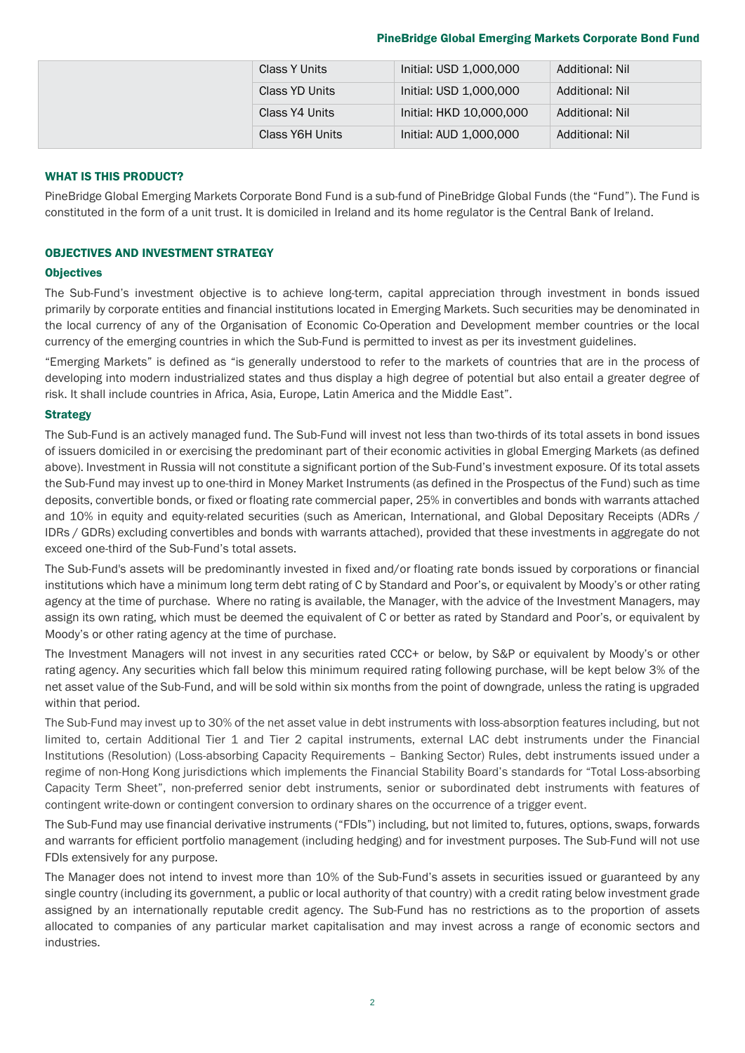# PineBridge Global Emerging Markets Corporate Bond Fund

|  | Class Y Units   | Initial: USD 1,000,000  | Additional: Nil |
|--|-----------------|-------------------------|-----------------|
|  | Class YD Units  | Initial: USD 1,000,000  | Additional: Nil |
|  | Class Y4 Units  | Initial: HKD 10,000,000 | Additional: Nil |
|  | Class Y6H Units | Initial: AUD 1,000,000  | Additional: Nil |

# WHAT IS THIS PRODUCT?

PineBridge Global Emerging Markets Corporate Bond Fund is a sub-fund of PineBridge Global Funds (the "Fund"). The Fund is constituted in the form of a unit trust. It is domiciled in Ireland and its home regulator is the Central Bank of Ireland.

# OBJECTIVES AND INVESTMENT STRATEGY

#### **Objectives**

The Sub-Fund's investment objective is to achieve long-term, capital appreciation through investment in bonds issued primarily by corporate entities and financial institutions located in Emerging Markets. Such securities may be denominated in the local currency of any of the Organisation of Economic Co-Operation and Development member countries or the local currency of the emerging countries in which the Sub-Fund is permitted to invest as per its investment guidelines.

"Emerging Markets" is defined as "is generally understood to refer to the markets of countries that are in the process of developing into modern industrialized states and thus display a high degree of potential but also entail a greater degree of risk. It shall include countries in Africa, Asia, Europe, Latin America and the Middle East".

#### **Strategy**

The Sub-Fund is an actively managed fund. The Sub-Fund will invest not less than two-thirds of its total assets in bond issues of issuers domiciled in or exercising the predominant part of their economic activities in global Emerging Markets (as defined above). Investment in Russia will not constitute a significant portion of the Sub-Fund's investment exposure. Of its total assets the Sub-Fund may invest up to one-third in Money Market Instruments (as defined in the Prospectus of the Fund) such as time deposits, convertible bonds, or fixed or floating rate commercial paper, 25% in convertibles and bonds with warrants attached and 10% in equity and equity-related securities (such as American, International, and Global Depositary Receipts (ADRs / IDRs / GDRs) excluding convertibles and bonds with warrants attached), provided that these investments in aggregate do not exceed one-third of the Sub-Fund's total assets.

The Sub-Fund's assets will be predominantly invested in fixed and/or floating rate bonds issued by corporations or financial institutions which have a minimum long term debt rating of C by Standard and Poor's, or equivalent by Moody's or other rating agency at the time of purchase. Where no rating is available, the Manager, with the advice of the Investment Managers, may assign its own rating, which must be deemed the equivalent of C or better as rated by Standard and Poor's, or equivalent by Moody's or other rating agency at the time of purchase.

The Investment Managers will not invest in any securities rated CCC+ or below, by S&P or equivalent by Moody's or other rating agency. Any securities which fall below this minimum required rating following purchase, will be kept below 3% of the net asset value of the Sub-Fund, and will be sold within six months from the point of downgrade, unless the rating is upgraded within that period.

The Sub-Fund may invest up to 30% of the net asset value in debt instruments with loss-absorption features including, but not limited to, certain Additional Tier 1 and Tier 2 capital instruments, external LAC debt instruments under the Financial Institutions (Resolution) (Loss-absorbing Capacity Requirements – Banking Sector) Rules, debt instruments issued under a regime of non-Hong Kong jurisdictions which implements the Financial Stability Board's standards for "Total Loss-absorbing Capacity Term Sheet", non-preferred senior debt instruments, senior or subordinated debt instruments with features of contingent write-down or contingent conversion to ordinary shares on the occurrence of a trigger event.

The Sub-Fund may use financial derivative instruments ("FDIs") including, but not limited to, futures, options, swaps, forwards and warrants for efficient portfolio management (including hedging) and for investment purposes. The Sub-Fund will not use FDIs extensively for any purpose.

The Manager does not intend to invest more than 10% of the Sub-Fund's assets in securities issued or guaranteed by any single country (including its government, a public or local authority of that country) with a credit rating below investment grade assigned by an internationally reputable credit agency. The Sub-Fund has no restrictions as to the proportion of assets allocated to companies of any particular market capitalisation and may invest across a range of economic sectors and industries.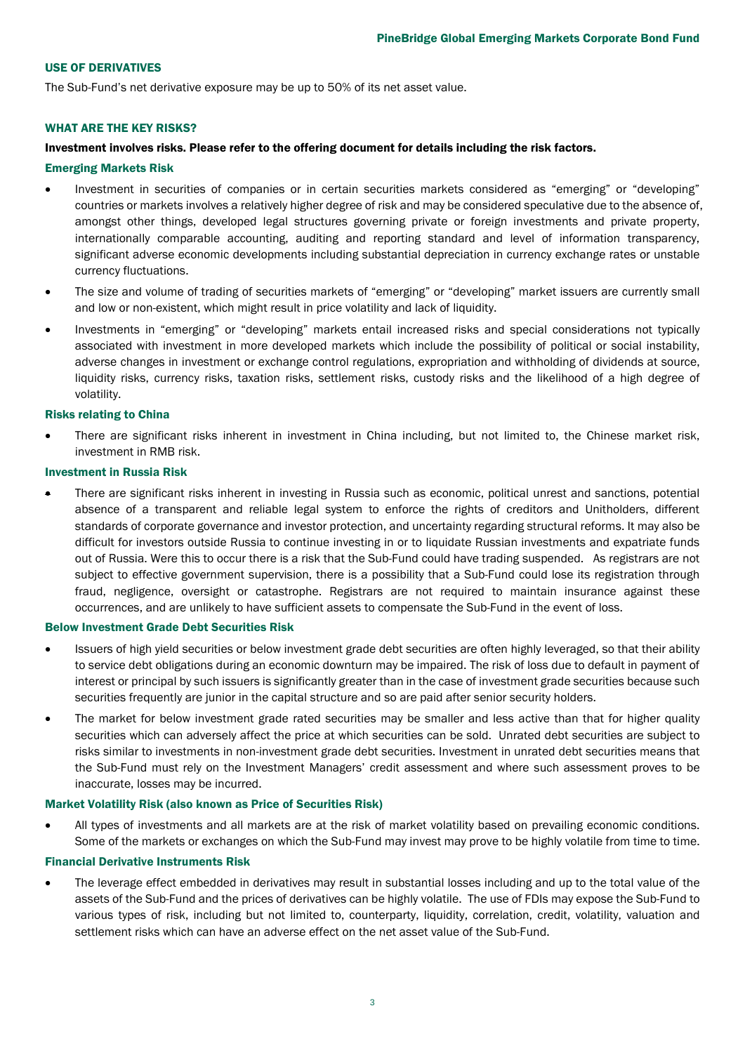## USE OF DERIVATIVES

The Sub-Fund's net derivative exposure may be up to 50% of its net asset value.

#### WHAT ARE THE KEY RISKS?

#### Investment involves risks. Please refer to the offering document for details including the risk factors.

#### Emerging Markets Risk

- Investment in securities of companies or in certain securities markets considered as "emerging" or "developing" countries or markets involves a relatively higher degree of risk and may be considered speculative due to the absence of, amongst other things, developed legal structures governing private or foreign investments and private property, internationally comparable accounting, auditing and reporting standard and level of information transparency, significant adverse economic developments including substantial depreciation in currency exchange rates or unstable currency fluctuations.
- The size and volume of trading of securities markets of "emerging" or "developing" market issuers are currently small and low or non-existent, which might result in price volatility and lack of liquidity.
- Investments in "emerging" or "developing" markets entail increased risks and special considerations not typically associated with investment in more developed markets which include the possibility of political or social instability, adverse changes in investment or exchange control regulations, expropriation and withholding of dividends at source, liquidity risks, currency risks, taxation risks, settlement risks, custody risks and the likelihood of a high degree of volatility.

#### Risks relating to China

There are significant risks inherent in investment in China including, but not limited to, the Chinese market risk, investment in RMB risk.

#### Investment in Russia Risk

• There are significant risks inherent in investing in Russia such as economic, political unrest and sanctions, potential absence of a transparent and reliable legal system to enforce the rights of creditors and Unitholders, different standards of corporate governance and investor protection, and uncertainty regarding structural reforms. It may also be difficult for investors outside Russia to continue investing in or to liquidate Russian investments and expatriate funds out of Russia. Were this to occur there is a risk that the Sub-Fund could have trading suspended. As registrars are not subject to effective government supervision, there is a possibility that a Sub-Fund could lose its registration through fraud, negligence, oversight or catastrophe. Registrars are not required to maintain insurance against these occurrences, and are unlikely to have sufficient assets to compensate the Sub-Fund in the event of loss.

#### Below Investment Grade Debt Securities Risk

- Issuers of high yield securities or below investment grade debt securities are often highly leveraged, so that their ability to service debt obligations during an economic downturn may be impaired. The risk of loss due to default in payment of interest or principal by such issuers is significantly greater than in the case of investment grade securities because such securities frequently are junior in the capital structure and so are paid after senior security holders.
- The market for below investment grade rated securities may be smaller and less active than that for higher quality securities which can adversely affect the price at which securities can be sold. Unrated debt securities are subject to risks similar to investments in non-investment grade debt securities. Investment in unrated debt securities means that the Sub-Fund must rely on the Investment Managers' credit assessment and where such assessment proves to be inaccurate, losses may be incurred.

#### Market Volatility Risk (also known as Price of Securities Risk)

• All types of investments and all markets are at the risk of market volatility based on prevailing economic conditions. Some of the markets or exchanges on which the Sub-Fund may invest may prove to be highly volatile from time to time.

#### Financial Derivative Instruments Risk

• The leverage effect embedded in derivatives may result in substantial losses including and up to the total value of the assets of the Sub-Fund and the prices of derivatives can be highly volatile. The use of FDIs may expose the Sub-Fund to various types of risk, including but not limited to, counterparty, liquidity, correlation, credit, volatility, valuation and settlement risks which can have an adverse effect on the net asset value of the Sub-Fund.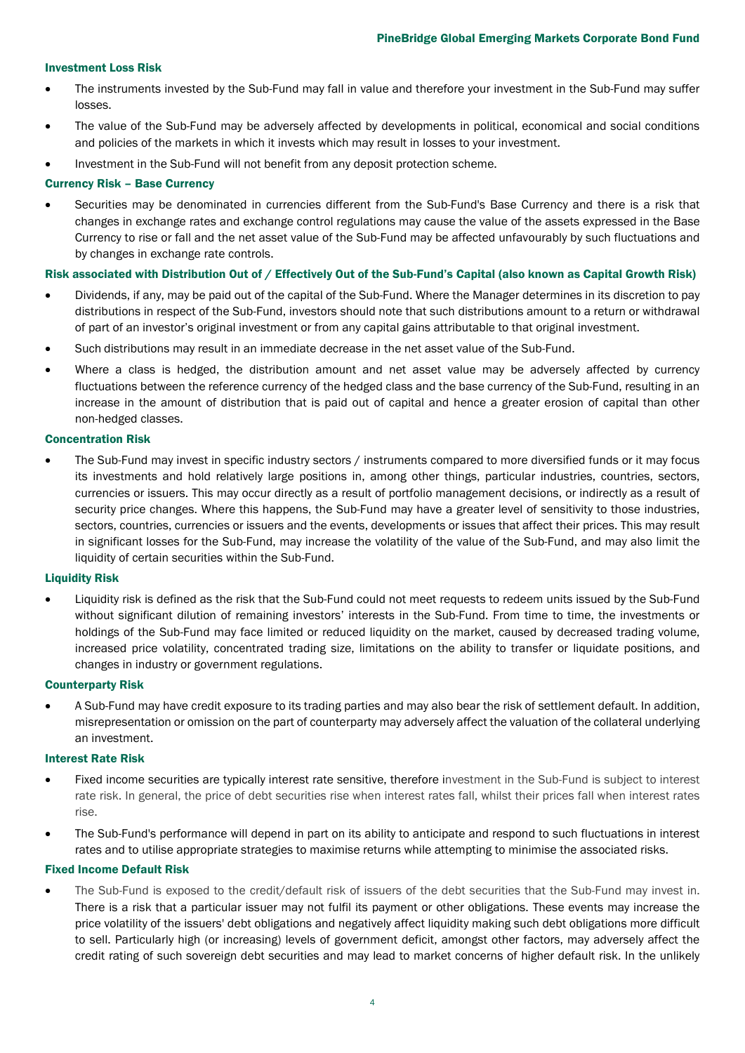# Investment Loss Risk

- The instruments invested by the Sub-Fund may fall in value and therefore your investment in the Sub-Fund may suffer losses.
- The value of the Sub-Fund may be adversely affected by developments in political, economical and social conditions and policies of the markets in which it invests which may result in losses to your investment.
- Investment in the Sub-Fund will not benefit from any deposit protection scheme.

# Currency Risk – Base Currency

• Securities may be denominated in currencies different from the Sub-Fund's Base Currency and there is a risk that changes in exchange rates and exchange control regulations may cause the value of the assets expressed in the Base Currency to rise or fall and the net asset value of the Sub-Fund may be affected unfavourably by such fluctuations and by changes in exchange rate controls.

# Risk associated with Distribution Out of / Effectively Out of the Sub-Fund's Capital (also known as Capital Growth Risk)

- Dividends, if any, may be paid out of the capital of the Sub-Fund. Where the Manager determines in its discretion to pay distributions in respect of the Sub-Fund, investors should note that such distributions amount to a return or withdrawal of part of an investor's original investment or from any capital gains attributable to that original investment.
- Such distributions may result in an immediate decrease in the net asset value of the Sub-Fund.
- Where a class is hedged, the distribution amount and net asset value may be adversely affected by currency fluctuations between the reference currency of the hedged class and the base currency of the Sub-Fund, resulting in an increase in the amount of distribution that is paid out of capital and hence a greater erosion of capital than other non-hedged classes.

#### Concentration Risk

The Sub-Fund may invest in specific industry sectors / instruments compared to more diversified funds or it may focus its investments and hold relatively large positions in, among other things, particular industries, countries, sectors, currencies or issuers. This may occur directly as a result of portfolio management decisions, or indirectly as a result of security price changes. Where this happens, the Sub-Fund may have a greater level of sensitivity to those industries, sectors, countries, currencies or issuers and the events, developments or issues that affect their prices. This may result in significant losses for the Sub-Fund, may increase the volatility of the value of the Sub-Fund, and may also limit the liquidity of certain securities within the Sub-Fund.

#### Liquidity Risk

• Liquidity risk is defined as the risk that the Sub-Fund could not meet requests to redeem units issued by the Sub-Fund without significant dilution of remaining investors' interests in the Sub-Fund. From time to time, the investments or holdings of the Sub-Fund may face limited or reduced liquidity on the market, caused by decreased trading volume, increased price volatility, concentrated trading size, limitations on the ability to transfer or liquidate positions, and changes in industry or government regulations.

#### Counterparty Risk

• A Sub-Fund may have credit exposure to its trading parties and may also bear the risk of settlement default. In addition, misrepresentation or omission on the part of counterparty may adversely affect the valuation of the collateral underlying an investment.

#### Interest Rate Risk

- Fixed income securities are typically interest rate sensitive, therefore investment in the Sub-Fund is subject to interest rate risk. In general, the price of debt securities rise when interest rates fall, whilst their prices fall when interest rates rise.
- The Sub-Fund's performance will depend in part on its ability to anticipate and respond to such fluctuations in interest rates and to utilise appropriate strategies to maximise returns while attempting to minimise the associated risks.

#### Fixed Income Default Risk

• The Sub-Fund is exposed to the credit/default risk of issuers of the debt securities that the Sub-Fund may invest in. There is a risk that a particular issuer may not fulfil its payment or other obligations. These events may increase the price volatility of the issuers' debt obligations and negatively affect liquidity making such debt obligations more difficult to sell. Particularly high (or increasing) levels of government deficit, amongst other factors, may adversely affect the credit rating of such sovereign debt securities and may lead to market concerns of higher default risk. In the unlikely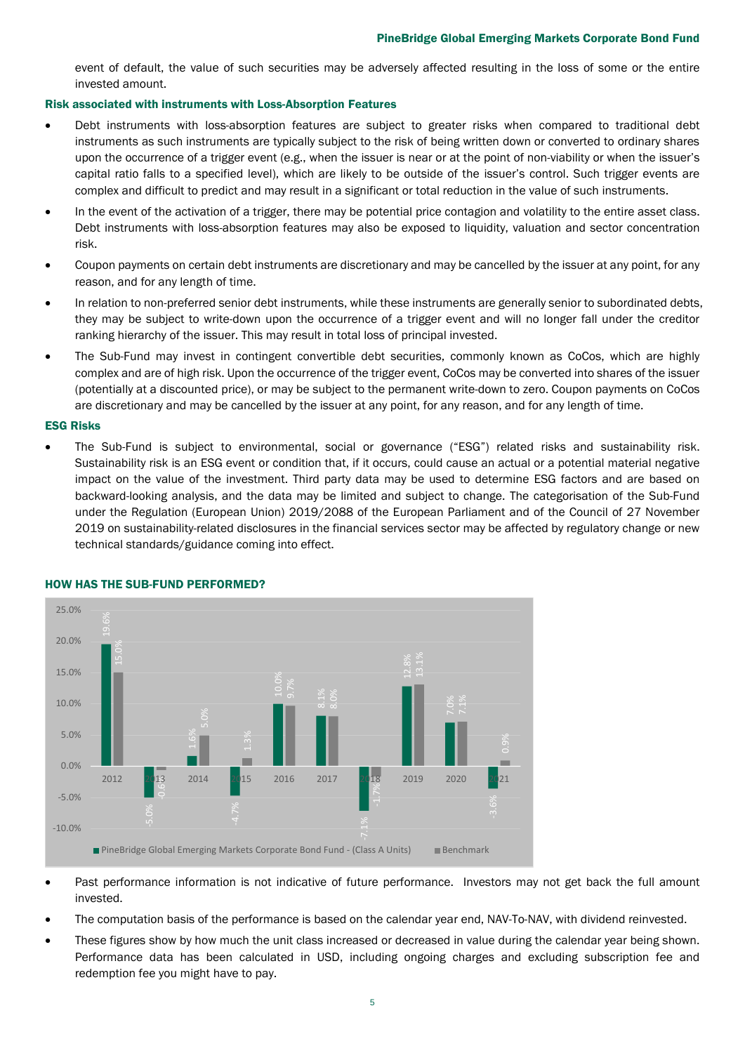event of default, the value of such securities may be adversely affected resulting in the loss of some or the entire invested amount.

#### Risk associated with instruments with Loss-Absorption Features

- Debt instruments with loss-absorption features are subject to greater risks when compared to traditional debt instruments as such instruments are typically subject to the risk of being written down or converted to ordinary shares upon the occurrence of a trigger event (e.g., when the issuer is near or at the point of non-viability or when the issuer's capital ratio falls to a specified level), which are likely to be outside of the issuer's control. Such trigger events are complex and difficult to predict and may result in a significant or total reduction in the value of such instruments.
- In the event of the activation of a trigger, there may be potential price contagion and volatility to the entire asset class. Debt instruments with loss-absorption features may also be exposed to liquidity, valuation and sector concentration risk.
- Coupon payments on certain debt instruments are discretionary and may be cancelled by the issuer at any point, for any reason, and for any length of time.
- In relation to non-preferred senior debt instruments, while these instruments are generally senior to subordinated debts, they may be subject to write-down upon the occurrence of a trigger event and will no longer fall under the creditor ranking hierarchy of the issuer. This may result in total loss of principal invested.
- The Sub-Fund may invest in contingent convertible debt securities, commonly known as CoCos, which are highly complex and are of high risk. Upon the occurrence of the trigger event, CoCos may be converted into shares of the issuer (potentially at a discounted price), or may be subject to the permanent write-down to zero. Coupon payments on CoCos are discretionary and may be cancelled by the issuer at any point, for any reason, and for any length of time.

#### ESG Risks

• The Sub-Fund is subject to environmental, social or governance ("ESG") related risks and sustainability risk. Sustainability risk is an ESG event or condition that, if it occurs, could cause an actual or a potential material negative impact on the value of the investment. Third party data may be used to determine ESG factors and are based on backward-looking analysis, and the data may be limited and subject to change. The categorisation of the Sub-Fund under the Regulation (European Union) 2019/2088 of the European Parliament and of the Council of 27 November 2019 on sustainability-related disclosures in the financial services sector may be affected by regulatory change or new technical standards/guidance coming into effect.



#### HOW HAS THE SUB-FUND PERFORMED?

- Past performance information is not indicative of future performance. Investors may not get back the full amount invested.
- The computation basis of the performance is based on the calendar year end, NAV-To-NAV, with dividend reinvested.
- These figures show by how much the unit class increased or decreased in value during the calendar year being shown. Performance data has been calculated in USD, including ongoing charges and excluding subscription fee and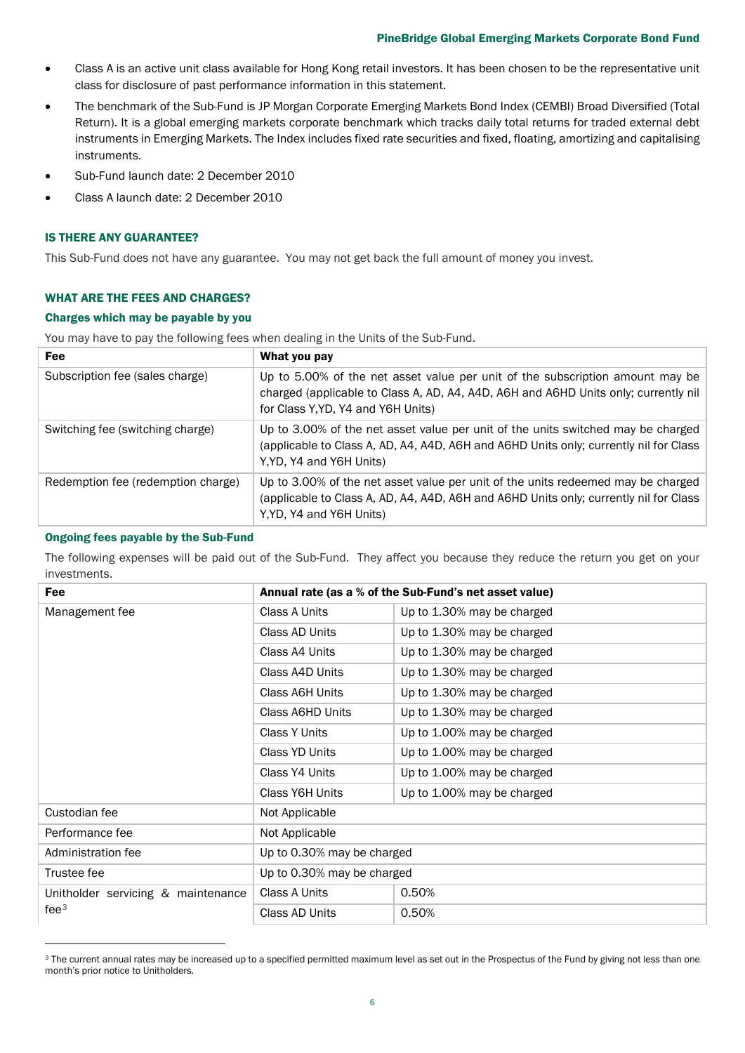# PineBridge Global Emerging Markets Corporate Bond Fund

- Class A is an active unit class available for Hong Kong retail investors. It has been chosen to be the representative unit class for disclosure of past performance information in this statement.
- The benchmark of the Sub-Fund is JP Morgan Corporate Emerging Markets Bond Index (CEMBI) Broad Diversified (Total Return). It is a global emerging markets corporate benchmark which tracks daily total returns for traded external debt instruments in Emerging Markets. The Index includes fixed rate securities and fixed, floating, amortizing and capitalising instruments.
- Sub-Fund launch date: 2 December 2010
- Class A launch date: 2 December 2010

#### IS THERE ANY GUARANTEE?

This Sub-Fund does not have any guarantee. You may not get back the full amount of money you invest.

# WHAT ARE THE FEES AND CHARGES?

#### Charges which may be payable by you

You may have to pay the following fees when dealing in the Units of the Sub-Fund.

| <b>Fee</b>                         | What you pay                                                                                                                                                                                               |
|------------------------------------|------------------------------------------------------------------------------------------------------------------------------------------------------------------------------------------------------------|
| Subscription fee (sales charge)    | Up to 5.00% of the net asset value per unit of the subscription amount may be<br>charged (applicable to Class A, AD, A4, A4D, A6H and A6HD Units only; currently nil<br>for Class Y, YD, Y4 and Y6H Units) |
| Switching fee (switching charge)   | Up to 3.00% of the net asset value per unit of the units switched may be charged<br>(applicable to Class A, AD, A4, A4D, A6H and A6HD Units only; currently nil for Class<br>Y, YD, Y4 and Y6H Units)      |
| Redemption fee (redemption charge) | Up to 3.00% of the net asset value per unit of the units redeemed may be charged<br>(applicable to Class A, AD, A4, A4D, A6H and A6HD Units only; currently nil for Class<br>Y, YD, Y4 and Y6H Units)      |

#### Ongoing fees payable by the Sub-Fund

The following expenses will be paid out of the Sub-Fund. They affect you because they reduce the return you get on your investments.

| Fee                                                    | Annual rate (as a % of the Sub-Fund's net asset value) |                            |  |
|--------------------------------------------------------|--------------------------------------------------------|----------------------------|--|
| Management fee                                         | Class A Units                                          | Up to 1.30% may be charged |  |
|                                                        | Class AD Units                                         | Up to 1.30% may be charged |  |
|                                                        | Class A4 Units                                         | Up to 1.30% may be charged |  |
|                                                        | Class A4D Units                                        | Up to 1.30% may be charged |  |
|                                                        | Class A6H Units                                        | Up to 1.30% may be charged |  |
|                                                        | Class A6HD Units                                       | Up to 1.30% may be charged |  |
|                                                        | Class Y Units                                          | Up to 1.00% may be charged |  |
|                                                        | Class YD Units                                         | Up to 1.00% may be charged |  |
|                                                        | Class Y4 Units                                         | Up to 1.00% may be charged |  |
|                                                        | Class Y6H Units                                        | Up to 1.00% may be charged |  |
| Custodian fee                                          | Not Applicable                                         |                            |  |
| Performance fee                                        | Not Applicable                                         |                            |  |
| Administration fee                                     | Up to 0.30% may be charged                             |                            |  |
| Trustee fee                                            | Up to 0.30% may be charged                             |                            |  |
| Unitholder servicing & maintenance<br>fee <sup>3</sup> | Class A Units                                          | 0.50%                      |  |
|                                                        | Class AD Units                                         | 0.50%                      |  |

<span id="page-5-0"></span><sup>&</sup>lt;sup>3</sup> The current annual rates may be increased up to a specified permitted maximum level as set out in the Prospectus of the Fund by giving not less than one month's prior notice to Unitholders.